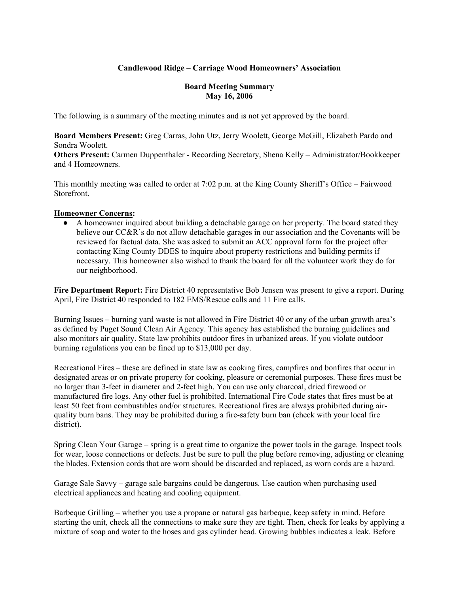# **Candlewood Ridge – Carriage Wood Homeowners' Association**

#### **Board Meeting Summary May 16, 2006**

The following is a summary of the meeting minutes and is not yet approved by the board.

**Board Members Present:** Greg Carras, John Utz, Jerry Woolett, George McGill, Elizabeth Pardo and Sondra Woolett.

**Others Present:** Carmen Duppenthaler - Recording Secretary, Shena Kelly – Administrator/Bookkeeper and 4 Homeowners.

This monthly meeting was called to order at 7:02 p.m. at the King County Sheriff's Office – Fairwood Storefront.

#### **Homeowner Concerns:**

● A homeowner inquired about building a detachable garage on her property. The board stated they believe our CC&R's do not allow detachable garages in our association and the Covenants will be reviewed for factual data. She was asked to submit an ACC approval form for the project after contacting King County DDES to inquire about property restrictions and building permits if necessary. This homeowner also wished to thank the board for all the volunteer work they do for our neighborhood.

**Fire Department Report:** Fire District 40 representative Bob Jensen was present to give a report. During April, Fire District 40 responded to 182 EMS/Rescue calls and 11 Fire calls.

Burning Issues – burning yard waste is not allowed in Fire District 40 or any of the urban growth area's as defined by Puget Sound Clean Air Agency. This agency has established the burning guidelines and also monitors air quality. State law prohibits outdoor fires in urbanized areas. If you violate outdoor burning regulations you can be fined up to \$13,000 per day.

Recreational Fires – these are defined in state law as cooking fires, campfires and bonfires that occur in designated areas or on private property for cooking, pleasure or ceremonial purposes. These fires must be no larger than 3-feet in diameter and 2-feet high. You can use only charcoal, dried firewood or manufactured fire logs. Any other fuel is prohibited. International Fire Code states that fires must be at least 50 feet from combustibles and/or structures. Recreational fires are always prohibited during airquality burn bans. They may be prohibited during a fire-safety burn ban (check with your local fire district).

Spring Clean Your Garage – spring is a great time to organize the power tools in the garage. Inspect tools for wear, loose connections or defects. Just be sure to pull the plug before removing, adjusting or cleaning the blades. Extension cords that are worn should be discarded and replaced, as worn cords are a hazard.

Garage Sale Savvy – garage sale bargains could be dangerous. Use caution when purchasing used electrical appliances and heating and cooling equipment.

Barbeque Grilling – whether you use a propane or natural gas barbeque, keep safety in mind. Before starting the unit, check all the connections to make sure they are tight. Then, check for leaks by applying a mixture of soap and water to the hoses and gas cylinder head. Growing bubbles indicates a leak. Before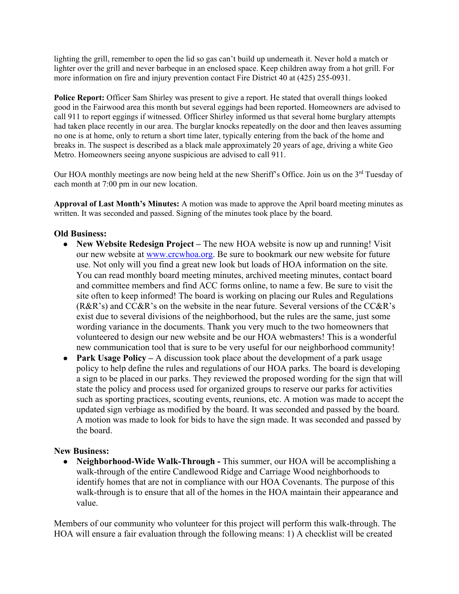lighting the grill, remember to open the lid so gas can't build up underneath it. Never hold a match or lighter over the grill and never barbeque in an enclosed space. Keep children away from a hot grill. For more information on fire and injury prevention contact Fire District 40 at (425) 255-0931.

**Police Report:** Officer Sam Shirley was present to give a report. He stated that overall things looked good in the Fairwood area this month but several eggings had been reported. Homeowners are advised to call 911 to report eggings if witnessed. Officer Shirley informed us that several home burglary attempts had taken place recently in our area. The burglar knocks repeatedly on the door and then leaves assuming no one is at home, only to return a short time later, typically entering from the back of the home and breaks in. The suspect is described as a black male approximately 20 years of age, driving a white Geo Metro. Homeowners seeing anyone suspicious are advised to call 911.

Our HOA monthly meetings are now being held at the new Sheriff's Office. Join us on the 3<sup>rd</sup> Tuesday of each month at 7:00 pm in our new location.

**Approval of Last Month's Minutes:** A motion was made to approve the April board meeting minutes as written. It was seconded and passed. Signing of the minutes took place by the board.

## **Old Business:**

- **New Website Redesign Project** The new HOA website is now up and running! Visit our new website at www.crcwhoa.org. Be sure to bookmark our new website for future use. Not only will you find a great new look but loads of HOA information on the site. You can read monthly board meeting minutes, archived meeting minutes, contact board and committee members and find ACC forms online, to name a few. Be sure to visit the site often to keep informed! The board is working on placing our Rules and Regulations (R&R's) and CC&R's on the website in the near future. Several versions of the CC&R's exist due to several divisions of the neighborhood, but the rules are the same, just some wording variance in the documents. Thank you very much to the two homeowners that volunteered to design our new website and be our HOA webmasters! This is a wonderful new communication tool that is sure to be very useful for our neighborhood community!
- **Park Usage Policy** A discussion took place about the development of a park usage policy to help define the rules and regulations of our HOA parks. The board is developing a sign to be placed in our parks. They reviewed the proposed wording for the sign that will state the policy and process used for organized groups to reserve our parks for activities such as sporting practices, scouting events, reunions, etc. A motion was made to accept the updated sign verbiage as modified by the board. It was seconded and passed by the board. A motion was made to look for bids to have the sign made. It was seconded and passed by the board.

#### **New Business:**

● **Neighborhood-Wide Walk-Through -** This summer, our HOA will be accomplishing a walk-through of the entire Candlewood Ridge and Carriage Wood neighborhoods to identify homes that are not in compliance with our HOA Covenants. The purpose of this walk-through is to ensure that all of the homes in the HOA maintain their appearance and value.

Members of our community who volunteer for this project will perform this walk-through. The HOA will ensure a fair evaluation through the following means: 1) A checklist will be created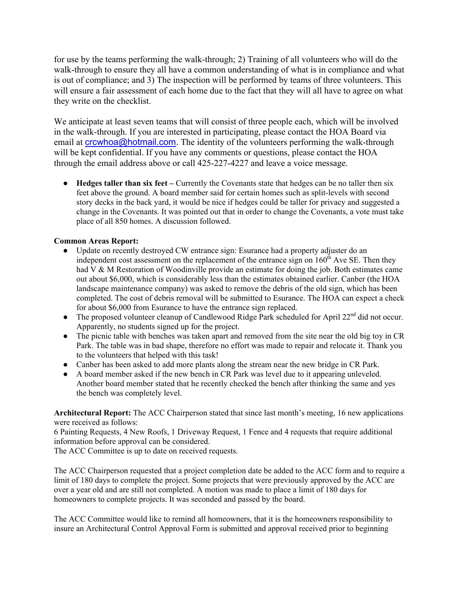for use by the teams performing the walk-through; 2) Training of all volunteers who will do the walk-through to ensure they all have a common understanding of what is in compliance and what is out of compliance; and 3) The inspection will be performed by teams of three volunteers. This will ensure a fair assessment of each home due to the fact that they will all have to agree on what they write on the checklist.

We anticipate at least seven teams that will consist of three people each, which will be involved in the walk-through. If you are interested in participating, please contact the HOA Board via email at crcwhoa@hotmail.com. The identity of the volunteers performing the walk-through will be kept confidential. If you have any comments or questions, please contact the HOA through the email address above or call 425-227-4227 and leave a voice message.

● **Hedges taller than six feet –** Currently the Covenants state that hedges can be no taller then six feet above the ground. A board member said for certain homes such as split-levels with second story decks in the back yard, it would be nice if hedges could be taller for privacy and suggested a change in the Covenants. It was pointed out that in order to change the Covenants, a vote must take place of all 850 homes. A discussion followed.

# **Common Areas Report:**

- Update on recently destroyed CW entrance sign: Esurance had a property adjuster do an independent cost assessment on the replacement of the entrance sign on  $160<sup>th</sup>$  Ave SE. Then they had V & M Restoration of Woodinville provide an estimate for doing the job. Both estimates came out about \$6,000, which is considerably less than the estimates obtained earlier. Canber (the HOA landscape maintenance company) was asked to remove the debris of the old sign, which has been completed. The cost of debris removal will be submitted to Esurance. The HOA can expect a check for about \$6,000 from Esurance to have the entrance sign replaced.
- The proposed volunteer cleanup of Candlewood Ridge Park scheduled for April 22<sup>nd</sup> did not occur. Apparently, no students signed up for the project.
- The picnic table with benches was taken apart and removed from the site near the old big toy in CR Park. The table was in bad shape, therefore no effort was made to repair and relocate it. Thank you to the volunteers that helped with this task!
- Canber has been asked to add more plants along the stream near the new bridge in CR Park.
- A board member asked if the new bench in CR Park was level due to it appearing unleveled. Another board member stated that he recently checked the bench after thinking the same and yes the bench was completely level.

**Architectural Report:** The ACC Chairperson stated that since last month's meeting, 16 new applications were received as follows:

6 Painting Requests, 4 New Roofs, 1 Driveway Request, 1 Fence and 4 requests that require additional information before approval can be considered.

The ACC Committee is up to date on received requests.

The ACC Chairperson requested that a project completion date be added to the ACC form and to require a limit of 180 days to complete the project. Some projects that were previously approved by the ACC are over a year old and are still not completed. A motion was made to place a limit of 180 days for homeowners to complete projects. It was seconded and passed by the board.

The ACC Committee would like to remind all homeowners, that it is the homeowners responsibility to insure an Architectural Control Approval Form is submitted and approval received prior to beginning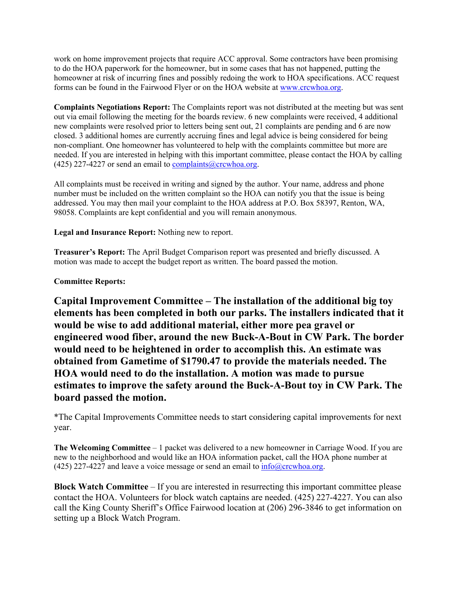work on home improvement projects that require ACC approval. Some contractors have been promising to do the HOA paperwork for the homeowner, but in some cases that has not happened, putting the homeowner at risk of incurring fines and possibly redoing the work to HOA specifications. ACC request forms can be found in the Fairwood Flyer or on the HOA website at www.crcwhoa.org.

**Complaints Negotiations Report:** The Complaints report was not distributed at the meeting but was sent out via email following the meeting for the boards review. 6 new complaints were received, 4 additional new complaints were resolved prior to letters being sent out, 21 complaints are pending and 6 are now closed. 3 additional homes are currently accruing fines and legal advice is being considered for being non-compliant. One homeowner has volunteered to help with the complaints committee but more are needed. If you are interested in helping with this important committee, please contact the HOA by calling (425) 227-4227 or send an email to complaints  $@$  crcwhoa.org.

All complaints must be received in writing and signed by the author. Your name, address and phone number must be included on the written complaint so the HOA can notify you that the issue is being addressed. You may then mail your complaint to the HOA address at P.O. Box 58397, Renton, WA, 98058. Complaints are kept confidential and you will remain anonymous.

**Legal and Insurance Report:** Nothing new to report.

**Treasurer's Report:** The April Budget Comparison report was presented and briefly discussed. A motion was made to accept the budget report as written. The board passed the motion.

## **Committee Reports:**

**Capital Improvement Committee – The installation of the additional big toy elements has been completed in both our parks. The installers indicated that it would be wise to add additional material, either more pea gravel or engineered wood fiber, around the new Buck-A-Bout in CW Park. The border would need to be heightened in order to accomplish this. An estimate was obtained from Gametime of \$1790.47 to provide the materials needed. The HOA would need to do the installation. A motion was made to pursue estimates to improve the safety around the Buck-A-Bout toy in CW Park. The board passed the motion.** 

\*The Capital Improvements Committee needs to start considering capital improvements for next year.

**The Welcoming Committee** – 1 packet was delivered to a new homeowner in Carriage Wood. If you are new to the neighborhood and would like an HOA information packet, call the HOA phone number at (425) 227-4227 and leave a voice message or send an email to  $\frac{\text{info}(Q)\text{crcwhoa.org}}{\text{info}(Q)\text{crcwhoa.org}}$ .

**Block Watch Committee** – If you are interested in resurrecting this important committee please contact the HOA. Volunteers for block watch captains are needed. (425) 227-4227. You can also call the King County Sheriff's Office Fairwood location at (206) 296-3846 to get information on setting up a Block Watch Program.